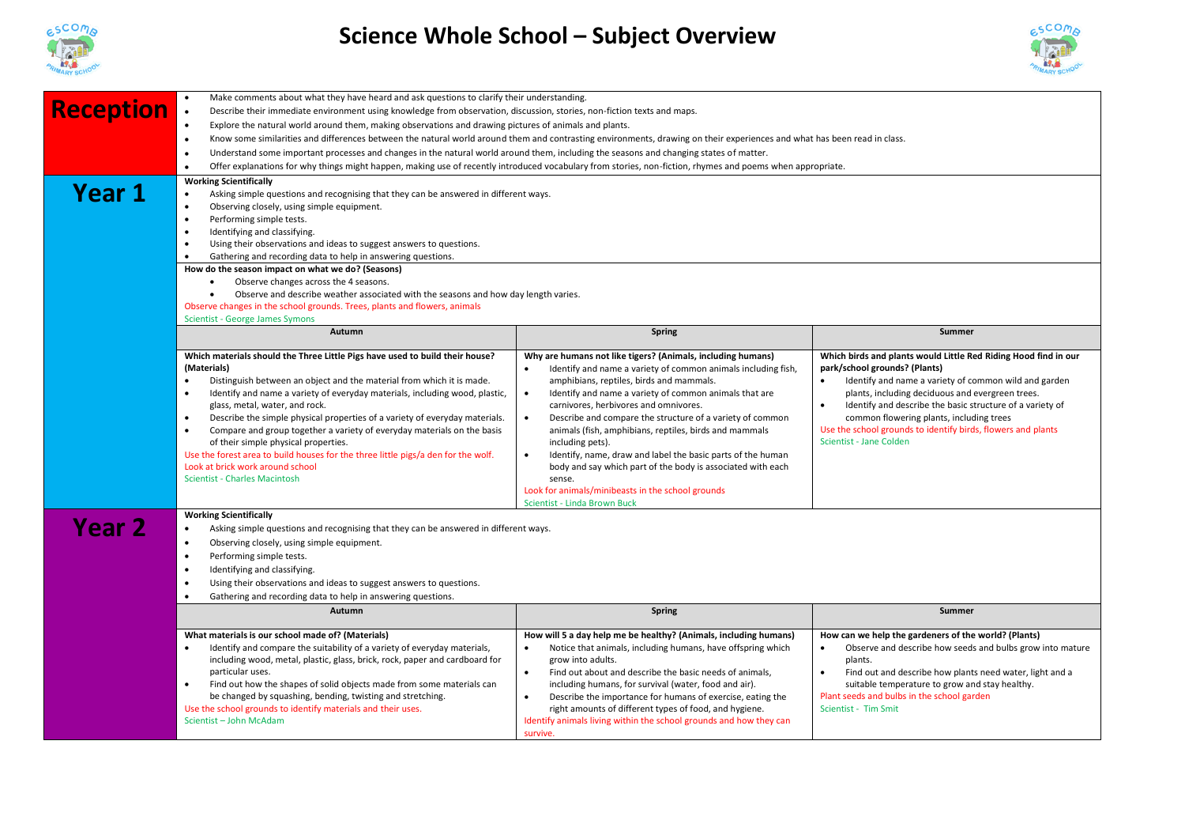

## **Science Whole School – Subject Overview**



|                  | Make comments about what they have heard and ask questions to clarify their understanding.                                                                                                    |                                                                                      |                                                                        |  |  |
|------------------|-----------------------------------------------------------------------------------------------------------------------------------------------------------------------------------------------|--------------------------------------------------------------------------------------|------------------------------------------------------------------------|--|--|
| <b>Reception</b> | Describe their immediate environment using knowledge from observation, discussion, stories, non-fiction texts and maps.                                                                       |                                                                                      |                                                                        |  |  |
|                  | Explore the natural world around them, making observations and drawing pictures of animals and plants.                                                                                        |                                                                                      |                                                                        |  |  |
|                  | Know some similarities and differences between the natural world around them and contrasting environments, drawing on their experiences and what has been read in class.<br>$\bullet$         |                                                                                      |                                                                        |  |  |
|                  | Understand some important processes and changes in the natural world around them, including the seasons and changing states of matter.<br>$\bullet$                                           |                                                                                      |                                                                        |  |  |
|                  | Offer explanations for why things might happen, making use of recently introduced vocabulary from stories, non-fiction, rhymes and poems when appropriate.<br>$\bullet$                       |                                                                                      |                                                                        |  |  |
|                  |                                                                                                                                                                                               |                                                                                      |                                                                        |  |  |
| Year 1           | <b>Working Scientifically</b><br>$\bullet$<br>Asking simple questions and recognising that they can be answered in different ways.<br>$\bullet$<br>Observing closely, using simple equipment. |                                                                                      |                                                                        |  |  |
|                  |                                                                                                                                                                                               |                                                                                      |                                                                        |  |  |
|                  |                                                                                                                                                                                               |                                                                                      |                                                                        |  |  |
|                  | Performing simple tests.<br>$\bullet$                                                                                                                                                         |                                                                                      |                                                                        |  |  |
|                  | $\bullet$<br>Identifying and classifying.                                                                                                                                                     |                                                                                      |                                                                        |  |  |
|                  | Using their observations and ideas to suggest answers to questions.<br>$\bullet$                                                                                                              |                                                                                      |                                                                        |  |  |
|                  | Gathering and recording data to help in answering questions.<br>$\bullet$                                                                                                                     |                                                                                      |                                                                        |  |  |
|                  | How do the season impact on what we do? (Seasons)                                                                                                                                             |                                                                                      |                                                                        |  |  |
|                  | Observe changes across the 4 seasons.<br>$\bullet$                                                                                                                                            |                                                                                      |                                                                        |  |  |
|                  | Observe and describe weather associated with the seasons and how day length varies.<br>$\bullet$                                                                                              |                                                                                      |                                                                        |  |  |
|                  | Observe changes in the school grounds. Trees, plants and flowers, animals                                                                                                                     |                                                                                      |                                                                        |  |  |
|                  | <b>Scientist - George James Symons</b>                                                                                                                                                        |                                                                                      |                                                                        |  |  |
|                  | <b>Autumn</b>                                                                                                                                                                                 | <b>Spring</b>                                                                        | Summer                                                                 |  |  |
|                  | Which materials should the Three Little Pigs have used to build their house?                                                                                                                  | Why are humans not like tigers? (Animals, including humans)                          | Which birds and plants would Little Red Riding Hood find in our        |  |  |
|                  | (Materials)                                                                                                                                                                                   | Identify and name a variety of common animals including fish,                        | park/school grounds? (Plants)                                          |  |  |
|                  | Distinguish between an object and the material from which it is made.<br>$\bullet$                                                                                                            | amphibians, reptiles, birds and mammals.                                             | Identify and name a variety of common wild and garden<br>$\bullet$     |  |  |
|                  | Identify and name a variety of everyday materials, including wood, plastic,<br>$\bullet$                                                                                                      | Identify and name a variety of common animals that are<br>$\bullet$                  | plants, including deciduous and evergreen trees.                       |  |  |
|                  | glass, metal, water, and rock.                                                                                                                                                                | carnivores, herbivores and omnivores.                                                | Identify and describe the basic structure of a variety of              |  |  |
|                  | Describe the simple physical properties of a variety of everyday materials.<br>$\bullet$                                                                                                      | Describe and compare the structure of a variety of common<br>$\bullet$               | common flowering plants, including trees                               |  |  |
|                  | Compare and group together a variety of everyday materials on the basis                                                                                                                       | animals (fish, amphibians, reptiles, birds and mammals                               | Use the school grounds to identify birds, flowers and plants           |  |  |
|                  | of their simple physical properties.                                                                                                                                                          | including pets).                                                                     | Scientist - Jane Colden                                                |  |  |
|                  | Use the forest area to build houses for the three little pigs/a den for the wolf.                                                                                                             | Identify, name, draw and label the basic parts of the human<br>$\bullet$             |                                                                        |  |  |
|                  | Look at brick work around school                                                                                                                                                              | body and say which part of the body is associated with each                          |                                                                        |  |  |
|                  | <b>Scientist - Charles Macintosh</b>                                                                                                                                                          | sense.                                                                               |                                                                        |  |  |
|                  |                                                                                                                                                                                               | Look for animals/minibeasts in the school grounds                                    |                                                                        |  |  |
|                  |                                                                                                                                                                                               | Scientist - Linda Brown Buck                                                         |                                                                        |  |  |
|                  | <b>Working Scientifically</b>                                                                                                                                                                 |                                                                                      |                                                                        |  |  |
| <b>Year 2</b>    | $\bullet$                                                                                                                                                                                     | Asking simple questions and recognising that they can be answered in different ways. |                                                                        |  |  |
|                  | Observing closely, using simple equipment.<br>$\bullet$                                                                                                                                       |                                                                                      |                                                                        |  |  |
|                  | Performing simple tests.<br>$\bullet$                                                                                                                                                         |                                                                                      |                                                                        |  |  |
|                  | Identifying and classifying.<br>$\bullet$                                                                                                                                                     |                                                                                      |                                                                        |  |  |
|                  | Using their observations and ideas to suggest answers to questions.<br>$\bullet$                                                                                                              |                                                                                      |                                                                        |  |  |
|                  |                                                                                                                                                                                               |                                                                                      |                                                                        |  |  |
|                  | $\bullet$<br>Gathering and recording data to help in answering questions.                                                                                                                     |                                                                                      |                                                                        |  |  |
|                  | Autumn                                                                                                                                                                                        | <b>Spring</b>                                                                        | Summer                                                                 |  |  |
|                  | What materials is our school made of? (Materials)                                                                                                                                             | How will 5 a day help me be healthy? (Animals, including humans)                     | How can we help the gardeners of the world? (Plants)                   |  |  |
|                  | Identify and compare the suitability of a variety of everyday materials,                                                                                                                      | Notice that animals, including humans, have offspring which                          | Observe and describe how seeds and bulbs grow into mature<br>$\bullet$ |  |  |
|                  | including wood, metal, plastic, glass, brick, rock, paper and cardboard for                                                                                                                   | grow into adults.                                                                    | plants.                                                                |  |  |
|                  | particular uses.                                                                                                                                                                              | Find out about and describe the basic needs of animals,<br>$\bullet$                 | Find out and describe how plants need water, light and a               |  |  |
|                  | Find out how the shapes of solid objects made from some materials can<br>$\bullet$                                                                                                            | including humans, for survival (water, food and air).                                | suitable temperature to grow and stay healthy.                         |  |  |
|                  | be changed by squashing, bending, twisting and stretching.                                                                                                                                    | Describe the importance for humans of exercise, eating the<br>$\bullet$              | Plant seeds and bulbs in the school garden                             |  |  |
|                  | Use the school grounds to identify materials and their uses.                                                                                                                                  | right amounts of different types of food, and hygiene.                               | Scientist - Tim Smit                                                   |  |  |
|                  | Scientist - John McAdam                                                                                                                                                                       | Identify animals living within the school grounds and how they can                   |                                                                        |  |  |
|                  |                                                                                                                                                                                               | survive.                                                                             |                                                                        |  |  |
|                  |                                                                                                                                                                                               |                                                                                      |                                                                        |  |  |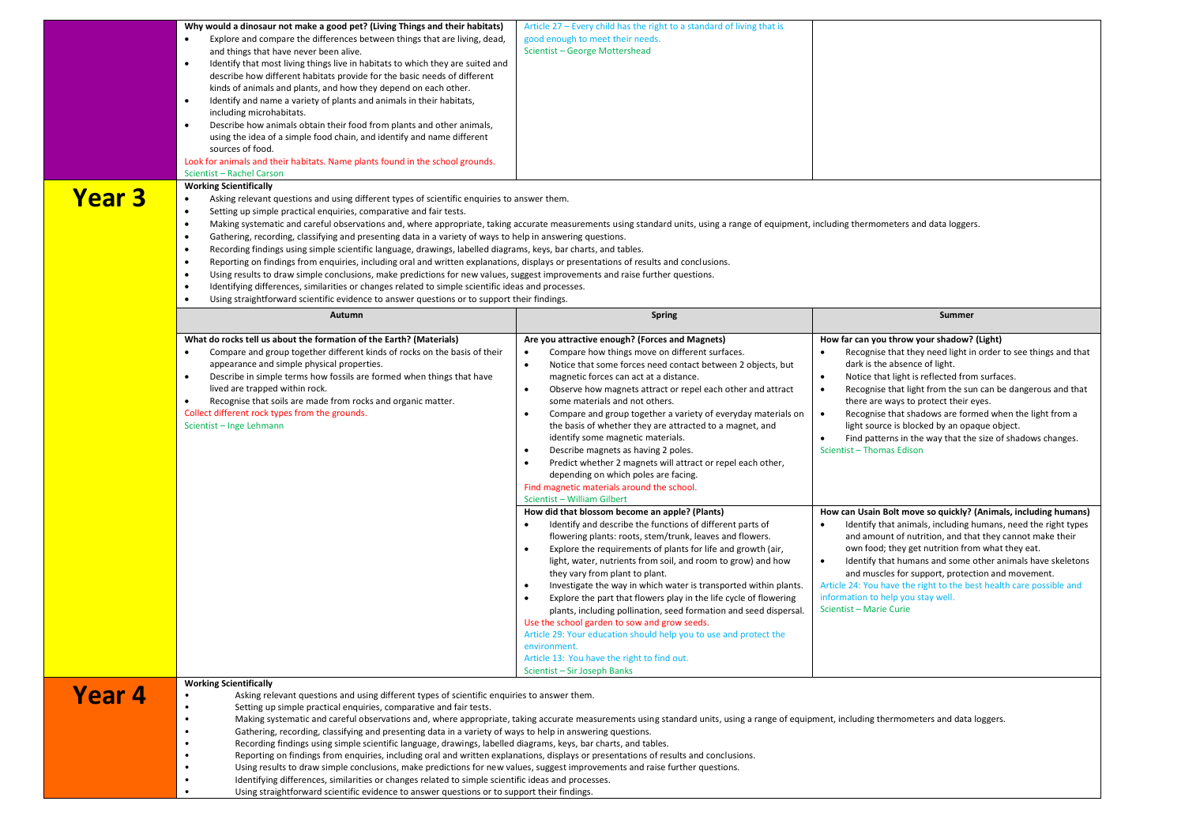|               | Why would a dinosaur not make a good pet? (Living Things and their habitats)<br>Explore and compare the differences between things that are living, dead,<br>and things that have never been alive.<br>Identify that most living things live in habitats to which they are suited and<br>$\bullet$<br>describe how different habitats provide for the basic needs of different<br>kinds of animals and plants, and how they depend on each other.<br>Identify and name a variety of plants and animals in their habitats,<br>$\bullet$<br>including microhabitats.<br>Describe how animals obtain their food from plants and other animals,<br>$\bullet$<br>using the idea of a simple food chain, and identify and name different<br>sources of food.<br>Look for animals and their habitats. Name plants found in the school grounds.<br>Scientist - Rachel Carson<br><b>Working Scientifically</b>                                                                                                                                                                                                                                                                                              | Article 27 - Every child has the right to a standard of living that is<br>good enough to meet their needs.<br>Scientist - George Mottershead                                                                                                                                                                                                                                                                                                                                                                                                                                                                                                                                                                                                                                                                       |                                                                                                                                                                                                                                                                                                                                                                                                                                                                                                                                                                               |  |
|---------------|----------------------------------------------------------------------------------------------------------------------------------------------------------------------------------------------------------------------------------------------------------------------------------------------------------------------------------------------------------------------------------------------------------------------------------------------------------------------------------------------------------------------------------------------------------------------------------------------------------------------------------------------------------------------------------------------------------------------------------------------------------------------------------------------------------------------------------------------------------------------------------------------------------------------------------------------------------------------------------------------------------------------------------------------------------------------------------------------------------------------------------------------------------------------------------------------------|--------------------------------------------------------------------------------------------------------------------------------------------------------------------------------------------------------------------------------------------------------------------------------------------------------------------------------------------------------------------------------------------------------------------------------------------------------------------------------------------------------------------------------------------------------------------------------------------------------------------------------------------------------------------------------------------------------------------------------------------------------------------------------------------------------------------|-------------------------------------------------------------------------------------------------------------------------------------------------------------------------------------------------------------------------------------------------------------------------------------------------------------------------------------------------------------------------------------------------------------------------------------------------------------------------------------------------------------------------------------------------------------------------------|--|
| <b>Year 3</b> | Asking relevant questions and using different types of scientific enquiries to answer them.<br>$\bullet$<br>Setting up simple practical enquiries, comparative and fair tests.<br>$\bullet$<br>Making systematic and careful observations and, where appropriate, taking accurate measurements using standard units, using a range of equipment, including thermometers and data loggers.<br>$\bullet$<br>Gathering, recording, classifying and presenting data in a variety of ways to help in answering questions.<br>$\bullet$<br>Recording findings using simple scientific language, drawings, labelled diagrams, keys, bar charts, and tables.<br>٠<br>Reporting on findings from enquiries, including oral and written explanations, displays or presentations of results and conclusions.<br>٠<br>Using results to draw simple conclusions, make predictions for new values, suggest improvements and raise further questions.<br>٠<br>Identifying differences, similarities or changes related to simple scientific ideas and processes.<br>Using straightforward scientific evidence to answer questions or to support their findings.<br>$\bullet$<br><b>Spring</b><br>Summer<br>Autumn |                                                                                                                                                                                                                                                                                                                                                                                                                                                                                                                                                                                                                                                                                                                                                                                                                    |                                                                                                                                                                                                                                                                                                                                                                                                                                                                                                                                                                               |  |
|               | What do rocks tell us about the formation of the Earth? (Materials)<br>Compare and group together different kinds of rocks on the basis of their<br>$\bullet$<br>appearance and simple physical properties.<br>Describe in simple terms how fossils are formed when things that have<br>$\bullet$<br>lived are trapped within rock.<br>Recognise that soils are made from rocks and organic matter.<br>٠<br>Collect different rock types from the grounds.<br>Scientist - Inge Lehmann                                                                                                                                                                                                                                                                                                                                                                                                                                                                                                                                                                                                                                                                                                             | Are you attractive enough? (Forces and Magnets)<br>Compare how things move on different surfaces.<br>$\bullet$<br>Notice that some forces need contact between 2 objects, but<br>magnetic forces can act at a distance.<br>Observe how magnets attract or repel each other and attract<br>$\bullet$<br>some materials and not others.<br>Compare and group together a variety of everyday materials on<br>$\bullet$<br>the basis of whether they are attracted to a magnet, and<br>identify some magnetic materials.<br>Describe magnets as having 2 poles.<br>٠<br>Predict whether 2 magnets will attract or repel each other,<br>$\bullet$<br>depending on which poles are facing.<br>Find magnetic materials around the school.<br>Scientist - William Gilbert                                                  | How far can you throw your shadow? (Light)<br>Recognise that they need light in order to see things and that<br>$\bullet$<br>dark is the absence of light.<br>Notice that light is reflected from surfaces.<br>$\bullet$<br>$\bullet$<br>Recognise that light from the sun can be dangerous and that<br>there are ways to protect their eyes.<br>Recognise that shadows are formed when the light from a<br>$\bullet$<br>light source is blocked by an opaque object.<br>Find patterns in the way that the size of shadows changes.<br>$\bullet$<br>Scientist - Thomas Edison |  |
|               |                                                                                                                                                                                                                                                                                                                                                                                                                                                                                                                                                                                                                                                                                                                                                                                                                                                                                                                                                                                                                                                                                                                                                                                                    | How did that blossom become an apple? (Plants)<br>Identify and describe the functions of different parts of<br>$\bullet$<br>flowering plants: roots, stem/trunk, leaves and flowers.<br>Explore the requirements of plants for life and growth (air,<br>$\bullet$<br>light, water, nutrients from soil, and room to grow) and how<br>they vary from plant to plant.<br>Investigate the way in which water is transported within plants.<br>Explore the part that flowers play in the life cycle of flowering<br>$\bullet$<br>plants, including pollination, seed formation and seed dispersal.<br>Use the school garden to sow and grow seeds.<br>Article 29: Your education should help you to use and protect the<br>environment.<br>Article 13: You have the right to find out.<br>Scientist - Sir Joseph Banks | How can Usain Bolt move so quickly? (Animals, including humans)<br>Identify that animals, including humans, need the right types<br>$\bullet$<br>and amount of nutrition, and that they cannot make their<br>own food; they get nutrition from what they eat.<br>Identify that humans and some other animals have skeletons<br>$\bullet$<br>and muscles for support, protection and movement.<br>Article 24: You have the right to the best health care possible and<br>information to help you stay well.<br>Scientist - Marie Curie                                         |  |
| Year 4        | <b>Working Scientifically</b><br>Asking relevant questions and using different types of scientific enquiries to answer them.<br>$\bullet$<br>Setting up simple practical enquiries, comparative and fair tests.<br>$\bullet$<br>Making systematic and careful observations and, where appropriate, taking accurate measurements using standard units, using a range of equipment, including thermometers and data loggers.<br>$\bullet$<br>Gathering, recording, classifying and presenting data in a variety of ways to help in answering questions.<br>٠<br>Recording findings using simple scientific language, drawings, labelled diagrams, keys, bar charts, and tables.<br>Reporting on findings from enquiries, including oral and written explanations, displays or presentations of results and conclusions.<br>Using results to draw simple conclusions, make predictions for new values, suggest improvements and raise further questions.<br>Identifying differences, similarities or changes related to simple scientific ideas and processes.<br>Using straightforward scientific evidence to answer questions or to support their findings.                                         |                                                                                                                                                                                                                                                                                                                                                                                                                                                                                                                                                                                                                                                                                                                                                                                                                    |                                                                                                                                                                                                                                                                                                                                                                                                                                                                                                                                                                               |  |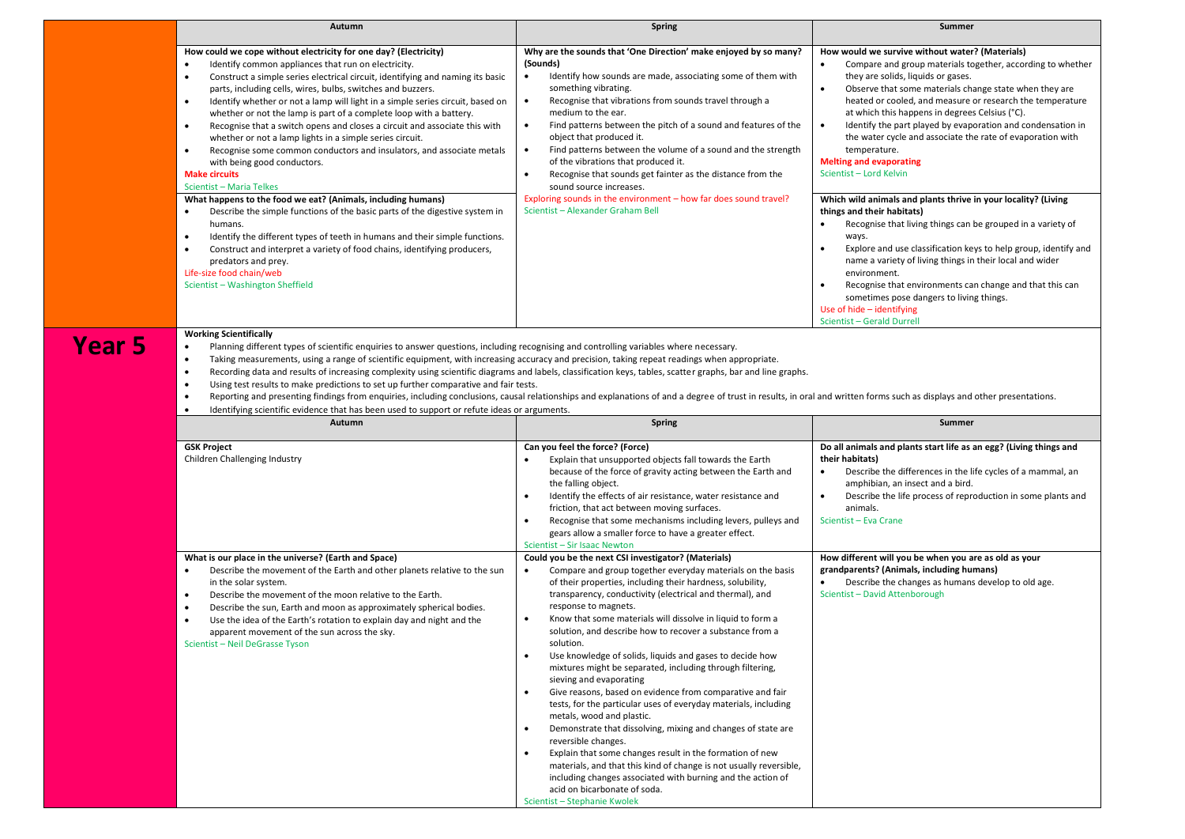|               | Autumn                                                                                                                                                                                                                                                                                                                                                                                                                                                                                                                                                                                                                                                                                                                                                                                                                                                                                                                                                                                 | <b>Spring</b>                                                                                                                                                                                                                                                                                                                                                                                                                                                                                                                                                                                                                                                                                                                                                                                                                                                                                                                                                                                                                                                                                                              | Summer                                                                                                                                                                                                                                                                                                                                                                                                                                                                                                                                                           |  |
|---------------|----------------------------------------------------------------------------------------------------------------------------------------------------------------------------------------------------------------------------------------------------------------------------------------------------------------------------------------------------------------------------------------------------------------------------------------------------------------------------------------------------------------------------------------------------------------------------------------------------------------------------------------------------------------------------------------------------------------------------------------------------------------------------------------------------------------------------------------------------------------------------------------------------------------------------------------------------------------------------------------|----------------------------------------------------------------------------------------------------------------------------------------------------------------------------------------------------------------------------------------------------------------------------------------------------------------------------------------------------------------------------------------------------------------------------------------------------------------------------------------------------------------------------------------------------------------------------------------------------------------------------------------------------------------------------------------------------------------------------------------------------------------------------------------------------------------------------------------------------------------------------------------------------------------------------------------------------------------------------------------------------------------------------------------------------------------------------------------------------------------------------|------------------------------------------------------------------------------------------------------------------------------------------------------------------------------------------------------------------------------------------------------------------------------------------------------------------------------------------------------------------------------------------------------------------------------------------------------------------------------------------------------------------------------------------------------------------|--|
|               | How could we cope without electricity for one day? (Electricity)<br>Identify common appliances that run on electricity.<br>$\bullet$<br>Construct a simple series electrical circuit, identifying and naming its basic<br>parts, including cells, wires, bulbs, switches and buzzers.<br>Identify whether or not a lamp will light in a simple series circuit, based on<br>$\bullet$<br>whether or not the lamp is part of a complete loop with a battery.<br>Recognise that a switch opens and closes a circuit and associate this with<br>$\bullet$<br>whether or not a lamp lights in a simple series circuit.<br>Recognise some common conductors and insulators, and associate metals<br>$\bullet$<br>with being good conductors.<br><b>Make circuits</b><br>Scientist - Maria Telkes                                                                                                                                                                                             | Why are the sounds that 'One Direction' make enjoyed by so many?<br>(Sounds)<br>Identify how sounds are made, associating some of them with<br>$\bullet$<br>something vibrating.<br>Recognise that vibrations from sounds travel through a<br>$\bullet$<br>medium to the ear.<br>Find patterns between the pitch of a sound and features of the<br>$\bullet$<br>object that produced it.<br>Find patterns between the volume of a sound and the strength<br>$\bullet$<br>of the vibrations that produced it.<br>Recognise that sounds get fainter as the distance from the<br>$\bullet$<br>sound source increases.                                                                                                                                                                                                                                                                                                                                                                                                                                                                                                         | How would we survive without water? (Materials)<br>Compare and group materials together, according to whether<br>they are solids, liquids or gases.<br>$\bullet$<br>Observe that some materials change state when they are<br>heated or cooled, and measure or research the temperature<br>at which this happens in degrees Celsius (°C).<br>$\bullet$<br>Identify the part played by evaporation and condensation in<br>the water cycle and associate the rate of evaporation with<br>temperature.<br><b>Melting and evaporating</b><br>Scientist - Lord Kelvin |  |
|               | What happens to the food we eat? (Animals, including humans)<br>Describe the simple functions of the basic parts of the digestive system in<br>$\bullet$<br>humans.<br>Identify the different types of teeth in humans and their simple functions.<br>$\bullet$<br>Construct and interpret a variety of food chains, identifying producers,<br>$\bullet$<br>predators and prey.<br>Life-size food chain/web<br>Scientist - Washington Sheffield                                                                                                                                                                                                                                                                                                                                                                                                                                                                                                                                        | Exploring sounds in the environment - how far does sound travel?<br>Scientist - Alexander Graham Bell                                                                                                                                                                                                                                                                                                                                                                                                                                                                                                                                                                                                                                                                                                                                                                                                                                                                                                                                                                                                                      | Which wild animals and plants thrive in your locality? (Living<br>things and their habitats)<br>Recognise that living things can be grouped in a variety of<br>$\bullet$<br>ways.<br>Explore and use classification keys to help group, identify and<br>$\bullet$<br>name a variety of living things in their local and wider<br>environment.<br>Recognise that environments can change and that this can<br>$\bullet$<br>sometimes pose dangers to living things.<br>Use of hide - identifying<br>Scientist - Gerald Durrell                                    |  |
| <b>Year 5</b> | <b>Working Scientifically</b><br>Planning different types of scientific enquiries to answer questions, including recognising and controlling variables where necessary.<br>$\bullet$<br>$\bullet$<br>Taking measurements, using a range of scientific equipment, with increasing accuracy and precision, taking repeat readings when appropriate.<br>$\bullet$<br>Recording data and results of increasing complexity using scientific diagrams and labels, classification keys, tables, scatter graphs, bar and line graphs.<br>$\bullet$<br>Using test results to make predictions to set up further comparative and fair tests.<br>Reporting and presenting findings from enquiries, including conclusions, causal relationships and explanations of and a degree of trust in results, in oral and written forms such as displays and other presentations.<br>$\bullet$<br>$\bullet$<br>Identifying scientific evidence that has been used to support or refute ideas or arguments. |                                                                                                                                                                                                                                                                                                                                                                                                                                                                                                                                                                                                                                                                                                                                                                                                                                                                                                                                                                                                                                                                                                                            |                                                                                                                                                                                                                                                                                                                                                                                                                                                                                                                                                                  |  |
|               | Autumn                                                                                                                                                                                                                                                                                                                                                                                                                                                                                                                                                                                                                                                                                                                                                                                                                                                                                                                                                                                 | <b>Spring</b>                                                                                                                                                                                                                                                                                                                                                                                                                                                                                                                                                                                                                                                                                                                                                                                                                                                                                                                                                                                                                                                                                                              | Summer                                                                                                                                                                                                                                                                                                                                                                                                                                                                                                                                                           |  |
|               | <b>GSK Project</b><br>Children Challenging Industry                                                                                                                                                                                                                                                                                                                                                                                                                                                                                                                                                                                                                                                                                                                                                                                                                                                                                                                                    | Can you feel the force? (Force)<br>Explain that unsupported objects fall towards the Earth<br>because of the force of gravity acting between the Earth and<br>the falling object.<br>Identify the effects of air resistance, water resistance and<br>$\bullet$<br>friction, that act between moving surfaces.<br>Recognise that some mechanisms including levers, pulleys and<br>gears allow a smaller force to have a greater effect.<br>Scientist - Sir Isaac Newton                                                                                                                                                                                                                                                                                                                                                                                                                                                                                                                                                                                                                                                     | Do all animals and plants start life as an egg? (Living things and<br>their habitats)<br>Describe the differences in the life cycles of a mammal, an<br>$\bullet$<br>amphibian, an insect and a bird.<br>$\bullet$<br>Describe the life process of reproduction in some plants and<br>animals.<br>Scientist - Eva Crane                                                                                                                                                                                                                                          |  |
|               | What is our place in the universe? (Earth and Space)<br>Describe the movement of the Earth and other planets relative to the sun<br>$\bullet$<br>in the solar system.<br>Describe the movement of the moon relative to the Earth.<br>$\bullet$<br>Describe the sun, Earth and moon as approximately spherical bodies.<br>$\bullet$<br>Use the idea of the Earth's rotation to explain day and night and the<br>$\bullet$<br>apparent movement of the sun across the sky.<br>Scientist - Neil DeGrasse Tyson                                                                                                                                                                                                                                                                                                                                                                                                                                                                            | Could you be the next CSI investigator? (Materials)<br>Compare and group together everyday materials on the basis<br>of their properties, including their hardness, solubility,<br>transparency, conductivity (electrical and thermal), and<br>response to magnets.<br>Know that some materials will dissolve in liquid to form a<br>$\bullet$<br>solution, and describe how to recover a substance from a<br>solution.<br>Use knowledge of solids, liquids and gases to decide how<br>mixtures might be separated, including through filtering,<br>sieving and evaporating<br>Give reasons, based on evidence from comparative and fair<br>$\bullet$<br>tests, for the particular uses of everyday materials, including<br>metals, wood and plastic.<br>Demonstrate that dissolving, mixing and changes of state are<br>$\bullet$<br>reversible changes.<br>Explain that some changes result in the formation of new<br>materials, and that this kind of change is not usually reversible,<br>including changes associated with burning and the action of<br>acid on bicarbonate of soda.<br>Scientist - Stephanie Kwolek | How different will you be when you are as old as your<br>grandparents? (Animals, including humans)<br>Describe the changes as humans develop to old age.<br>Scientist - David Attenborough                                                                                                                                                                                                                                                                                                                                                                       |  |